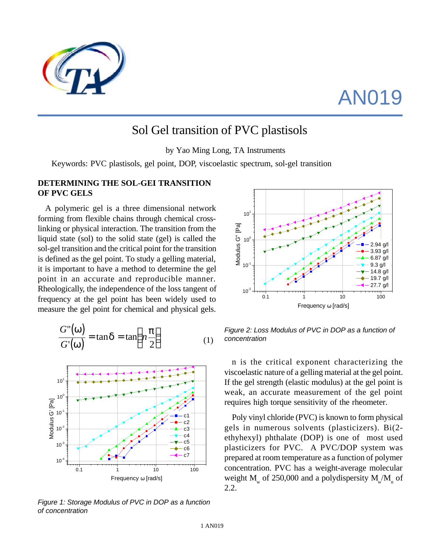

## AN019

## Sol Gel transition of PVC plastisols

by Yao Ming Long, TA Instruments

Keywords: PVC plastisols, gel point, DOP, viscoelastic spectrum, sol-gel transition

## **DETERMINING THE SOL-GEI TRANSITION OF PVC GELS**

A polymeric gel is a three dimensional network forming from flexible chains through chemical crosslinking or physical interaction. The transition from the liquid state (sol) to the solid state (gel) is called the sol-gel transition and the critical point for the transition is defined as the gel point. To study a gelling material, it is important to have a method to determine the gel point in an accurate and reproducible manner. Rheologically, the independence of the loss tangent of frequency at the gel point has been widely used to measure the gel point for chemical and physical gels.

$$
\frac{G''(w)}{G'(w)} = \tan d = \tan \left( n \frac{p}{2} \right)
$$
 (1)



*Figure 1: Storage Modulus of PVC in DOP as a function of concentration*



*Figure 2: Loss Modulus of PVC in DOP as a function of concentration*

n is the critical exponent characterizing the viscoelastic nature of a gelling material at the gel point. If the gel strength (elastic modulus) at the gel point is weak, an accurate measurement of the gel point requires high torque sensitivity of the rheometer.

Poly vinyl chloride (PVC) is known to form physical gels in numerous solvents (plasticizers). Bi(2 ethyhexyl) phthalate (DOP) is one of most used plasticizers for PVC. A PVC/DOP system was prepared at room temperature as a function of polymer concentration. PVC has a weight-average molecular weight  $M_{_{\rm w}}$  of 250,000 and a polydispersity  $M_{_{\rm w}}/M_{_{\rm n}}$  of 2.2.